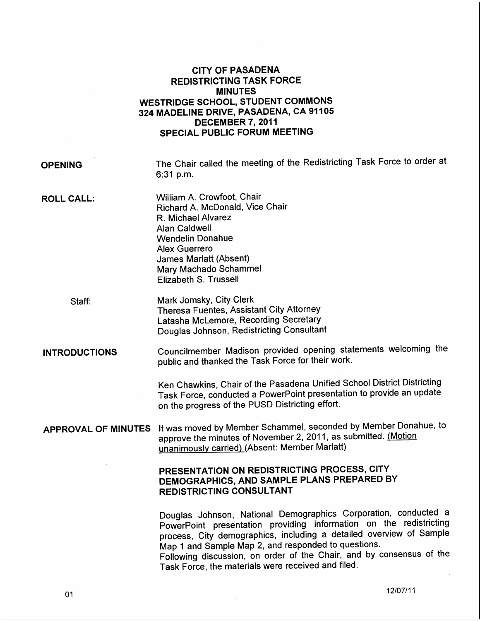## CITY OF PASADENA REDISTRICTING TASK FORCE MINUTES WESTRIDGE SCHOOL, STUDENT COMMONS 324 MADELINE DRIVE, PASADENA, CA 91105 DECEMBER 7, 2011 SPECIAL PUBLIC FORUM MEETING

OPENING

The Chair called the meeting of the Redistricting Task Force to order at 6:31p.m.

**ROLL CALL:** 

William A. Crowfoot, Chair Richard A. McDonald, Vice Chair R. Michael Alvarez Alan Caldwell Wendelin Donahue Alex Guerrero James Marlatt (Absent) Mary Machado Schammel Elizabeth S. Trussell

Staff: Mark Jomsky, City Clerk Theresa Fuentes, Assistant City Attorney Latasha Mclemore, Recording Secretary Douglas Johnson, Redistricting Consultant

INTRODUCTIONS Councilmember Madison provided opening statements welcoming the public and thanked the Task Force for their work.

> Ken Chawkins, Chair of the Pasadena Unified School District Districting Task Force, conducted a PowerPoint presentation to provide an update on the progress of the PUSD Districting effort.

APPROVAL OF MINUTES It was moved by Member Schammel, seconded by Member Donahue, to approve the minutes of November 2, 2011, as submitted. (Motion unanimously carried) (Absent: Member Marlatt)

## PRESENTATION ON REDISTRICTING PROCESS, CITY DEMOGRAPHICS, AND SAMPLE PLANS PREPARED BY REDISTRICTING CONSULTANT

Douglas Johnson, National Demographics Corporation, conducted a PowerPoint presentation providing information on the redistricting process, City demographics, including a detailed overview of Sample Map 1 and Sample Map 2, and responded to questions.

Following discussion, on order of the Chair, and by consensus of the Task Force, the materials were received and filed.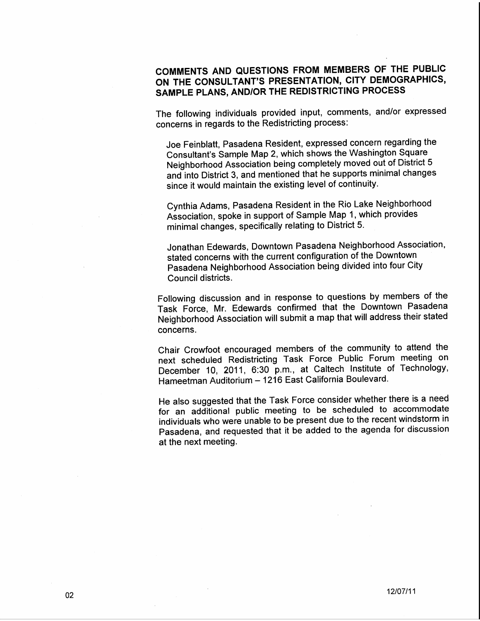## COMMENTS AND QUESTIONS FROM MEMBERS OF THE PUBLIC ON THE CONSULTANT'S PRESENTATION, CITY DEMOGRAPHICS, SAMPLE PLANS, AND/OR THE REDISTRICTING PROCESS

The following individuals provided input, comments, and/or expressed concerns in regards to the Redistricting process:

Joe Feinblatt, Pasadena Resident, expressed concern regarding the Consultant's Sample Map 2, which shows the Washington Square Neighborhood Association being completely moved out of District 5 and into District 3, and mentioned that he supports minimal changes since it would maintain the existing level of continuity.

Cynthia Adams, Pasadena Resident in the Rio Lake Neighborhood Association, spoke in support of Sample Map 1, which provides minimal changes, specifically relating to District 5.

Jonathan Edewards, Downtown Pasadena Neighborhood Association, stated concerns with the current configuration of the Downtown Pasadena Neighborhood Association being divided into four City Council districts.

Following discussion and in response to questions by members of the Task Force, Mr. Edewards confirmed that the Downtown Pasadena Neighborhood Association will submit a map that will address their stated concerns.

Chair Crowfoot encouraged members of the community to attend the next scheduled Redistricting Task Force Public Forum meeting on December 10, 2011, 6:30 p.m., at Caltech Institute of Technology, Hameetman Auditorium- 1216 East California Boulevard.

He also suggested that the Task Force consider whether there is a need for an additional public meeting to be scheduled to accommodate individuals who were unable to be present due to the recent windstorm in Pasadena, and requested that it be added to the agenda for discussion at the next meeting.